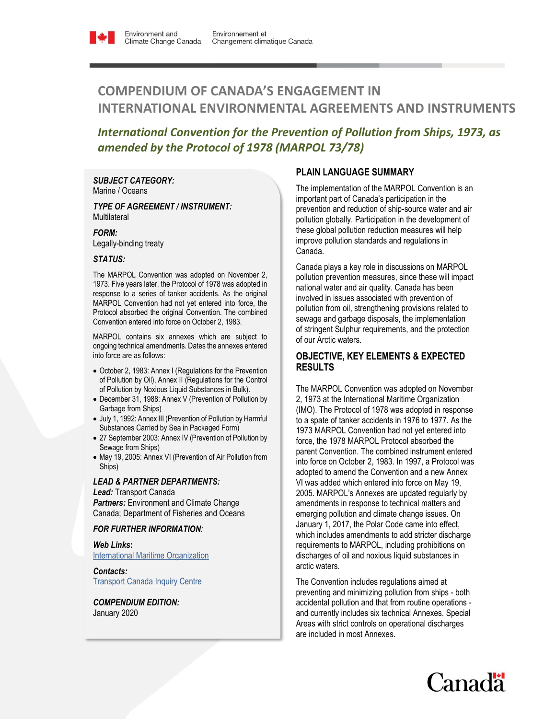# **COMPENDIUM OF CANADA'S ENGAGEMENT IN INTERNATIONAL ENVIRONMENTAL AGREEMENTS AND INSTRUMENTS**

## *International Convention for the Prevention of Pollution from Ships, 1973, as amended by the Protocol of 1978 (MARPOL 73/78)*

*SUBJECT CATEGORY:*  Marine / Oceans

*TYPE OF AGREEMENT / INSTRUMENT:*  **Multilateral** 

*FORM:* Legally-binding treaty

#### *STATUS:*

The MARPOL Convention was adopted on November 2, 1973. Five years later, the Protocol of 1978 was adopted in response to a series of tanker accidents. As the original MARPOL Convention had not yet entered into force, the Protocol absorbed the original Convention. The combined Convention entered into force on October 2, 1983.

MARPOL contains six annexes which are subject to ongoing technical amendments. Dates the annexes entered into force are as follows:

- October 2, 1983: Annex I (Regulations for the Prevention of Pollution by Oil), Annex II (Regulations for the Control of Pollution by Noxious Liquid Substances in Bulk).
- December 31, 1988: Annex V (Prevention of Pollution by Garbage from Ships)
- July 1, 1992: Annex III (Prevention of Pollution by Harmful Substances Carried by Sea in Packaged Form)
- 27 September 2003: Annex IV (Prevention of Pollution by Sewage from Ships)
- May 19, 2005: Annex VI (Prevention of Air Pollution from Ships)

#### *LEAD & PARTNER DEPARTMENTS:*

*Lead:* Transport Canada *Partners:* Environment and Climate Change Canada; Department of Fisheries and Oceans

### *FOR FURTHER INFORMATION:*

*Web Links***:** [International Maritime Organization](http://www.imo.org/OurWork/Pages/Home.aspx)

*Contacts:* [Transport Canada Inquiry Centre](https://www.tc.gc.ca/eng/contact-us.htm)

*COMPENDIUM EDITION:* January 2020

## **PLAIN LANGUAGE SUMMARY**

The implementation of the MARPOL Convention is an important part of Canada's participation in the prevention and reduction of ship-source water and air pollution globally. Participation in the development of these global pollution reduction measures will help improve pollution standards and regulations in Canada.

Canada plays a key role in discussions on MARPOL pollution prevention measures, since these will impact national water and air quality. Canada has been involved in issues associated with prevention of pollution from oil, strengthening provisions related to sewage and garbage disposals, the implementation of stringent Sulphur requirements, and the protection of our Arctic waters.

## **OBJECTIVE, KEY ELEMENTS & EXPECTED RESULTS**

The MARPOL Convention was adopted on November 2, 1973 at the International Maritime Organization (IMO). The Protocol of 1978 was adopted in response to a spate of tanker accidents in 1976 to 1977. As the 1973 MARPOL Convention had not yet entered into force, the 1978 MARPOL Protocol absorbed the parent Convention. The combined instrument entered into force on October 2, 1983. In 1997, a Protocol was adopted to amend the Convention and a new Annex VI was added which entered into force on May 19, 2005. MARPOL's Annexes are updated regularly by amendments in response to technical matters and emerging pollution and climate change issues. On January 1, 2017, the Polar Code came into effect, which includes amendments to add stricter discharge requirements to MARPOL, including prohibitions on discharges of oil and noxious liquid substances in arctic waters.

The Convention includes regulations aimed at preventing and minimizing pollution from ships - both accidental pollution and that from routine operations and currently includes six technical Annexes. Special Areas with strict controls on operational discharges are included in most Annexes.

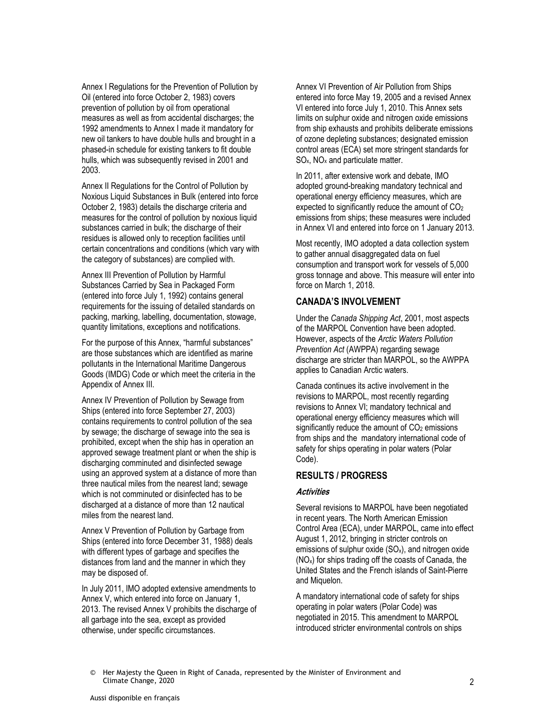Annex I Regulations for the Prevention of Pollution by Oil (entered into force October 2, 1983) covers prevention of pollution by oil from operational measures as well as from accidental discharges; the 1992 amendments to Annex I made it mandatory for new oil tankers to have double hulls and brought in a phased-in schedule for existing tankers to fit double hulls, which was subsequently revised in 2001 and 2003.

Annex II Regulations for the Control of Pollution by Noxious Liquid Substances in Bulk (entered into force October 2, 1983) details the discharge criteria and measures for the control of pollution by noxious liquid substances carried in bulk; the discharge of their residues is allowed only to reception facilities until certain concentrations and conditions (which vary with the category of substances) are complied with.

Annex III Prevention of Pollution by Harmful Substances Carried by Sea in Packaged Form (entered into force July 1, 1992) contains general requirements for the issuing of detailed standards on packing, marking, labelling, documentation, stowage, quantity limitations, exceptions and notifications.

For the purpose of this Annex, "harmful substances" are those substances which are identified as marine pollutants in the International Maritime Dangerous Goods (IMDG) Code or which meet the criteria in the Appendix of Annex III.

Annex IV Prevention of Pollution by Sewage from Ships (entered into force September 27, 2003) contains requirements to control pollution of the sea by sewage; the discharge of sewage into the sea is prohibited, except when the ship has in operation an approved sewage treatment plant or when the ship is discharging comminuted and disinfected sewage using an approved system at a distance of more than three nautical miles from the nearest land; sewage which is not comminuted or disinfected has to be discharged at a distance of more than 12 nautical miles from the nearest land.

Annex V Prevention of Pollution by Garbage from Ships (entered into force December 31, 1988) deals with different types of garbage and specifies the distances from land and the manner in which they may be disposed of.

In July 2011, IMO adopted extensive amendments to Annex V, which entered into force on January 1, 2013. The revised Annex V prohibits the discharge of all garbage into the sea, except as provided otherwise, under specific circumstances.

Annex VI Prevention of Air Pollution from Ships entered into force May 19, 2005 and a revised Annex VI entered into force July 1, 2010. This Annex sets limits on sulphur oxide and nitrogen oxide emissions from ship exhausts and prohibits deliberate emissions of ozone depleting substances; designated emission control areas (ECA) set more stringent standards for  $SO_{x}$ , NO<sub>x</sub> and particulate matter.

In 2011, after extensive work and debate, IMO adopted ground-breaking mandatory technical and operational energy efficiency measures, which are expected to significantly reduce the amount of CO<sup>2</sup> emissions from ships; these measures were included in Annex VI and entered into force on 1 January 2013.

Most recently, IMO adopted a data collection system to gather annual disaggregated data on fuel consumption and transport work for vessels of 5,000 gross tonnage and above. This measure will enter into force on March 1, 2018.

## **CANADA'S INVOLVEMENT**

Under the *Canada Shipping Act*, 2001, most aspects of the MARPOL Convention have been adopted. However, aspects of the *Arctic Waters Pollution Prevention Act* (AWPPA) regarding sewage discharge are stricter than MARPOL, so the AWPPA applies to Canadian Arctic waters.

Canada continues its active involvement in the revisions to MARPOL, most recently regarding revisions to Annex VI; mandatory technical and operational energy efficiency measures which will significantly reduce the amount of  $CO<sub>2</sub>$  emissions from ships and the mandatory international code of safety for ships operating in polar waters (Polar Code).

## **RESULTS / PROGRESS**

#### **Activities**

Several revisions to MARPOL have been negotiated in recent years. The North American Emission Control Area (ECA), under MARPOL, came into effect August 1, 2012, bringing in stricter controls on emissions of sulphur oxide  $(SO_x)$ , and nitrogen oxide (NOx) for ships trading off the coasts of Canada, the United States and the French islands of Saint-Pierre and Miquelon.

A mandatory international code of safety for ships operating in polar waters (Polar Code) was negotiated in 2015. This amendment to MARPOL introduced stricter environmental controls on ships

© Her Majesty the Queen in Right of Canada, represented by the Minister of Environment and Climate Change, 2020